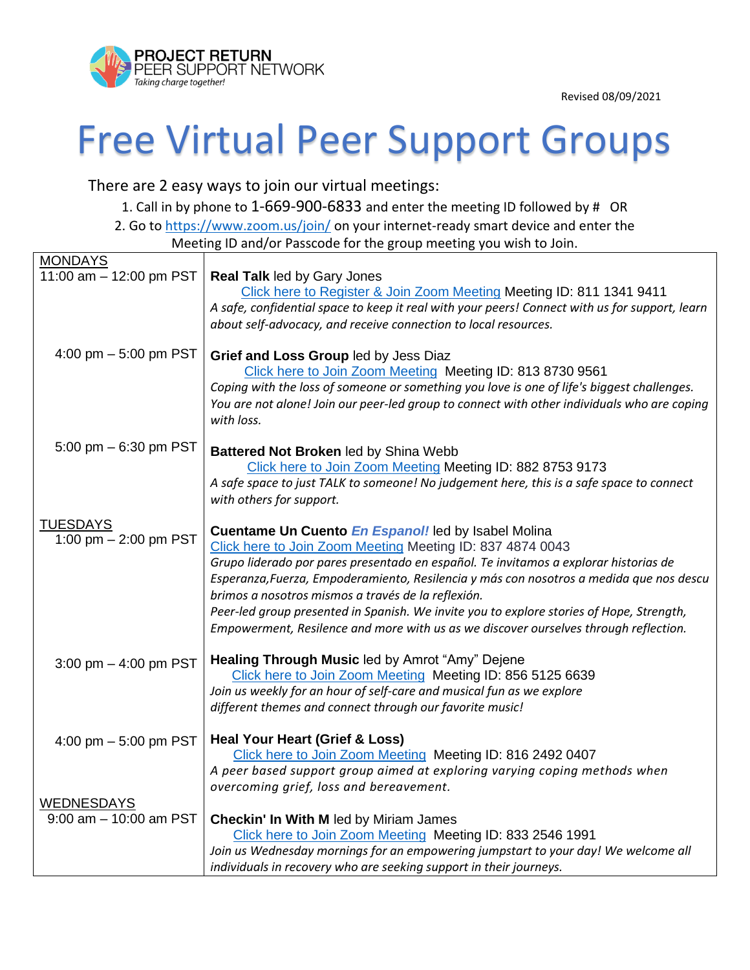Revised 08/09/2021



## Free Virtual Peer Support Groups

There are 2 easy ways to join our virtual meetings:

1. Call in by phone to 1-669-900-6833 and enter the meeting ID followed by # OR 2. Go to<https://www.zoom.us/join/> on your internet-ready smart device and enter the Meeting ID and/or Passcode for the group meeting you wish to Join.

|                           | iviceting iD and/or rasscoue for the group meeting you wish to some                                                                                      |
|---------------------------|----------------------------------------------------------------------------------------------------------------------------------------------------------|
| <b>MONDAYS</b>            |                                                                                                                                                          |
| 11:00 am - 12:00 pm PST   | <b>Real Talk led by Gary Jones</b>                                                                                                                       |
|                           | Click here to Register & Join Zoom Meeting Meeting ID: 811 1341 9411                                                                                     |
|                           | A safe, confidential space to keep it real with your peers! Connect with us for support, learn                                                           |
|                           | about self-advocacy, and receive connection to local resources.                                                                                          |
| 4:00 pm $-5:00$ pm PST    | Grief and Loss Group led by Jess Diaz                                                                                                                    |
|                           | Click here to Join Zoom Meeting Meeting ID: 813 8730 9561                                                                                                |
|                           | Coping with the loss of someone or something you love is one of life's biggest challenges.                                                               |
|                           | You are not alone! Join our peer-led group to connect with other individuals who are coping                                                              |
|                           | with loss.                                                                                                                                               |
|                           |                                                                                                                                                          |
| 5:00 pm $-6:30$ pm PST    | Battered Not Broken led by Shina Webb                                                                                                                    |
|                           | Click here to Join Zoom Meeting Meeting ID: 882 8753 9173                                                                                                |
|                           | A safe space to just TALK to someone! No judgement here, this is a safe space to connect                                                                 |
|                           | with others for support.                                                                                                                                 |
| <b>TUESDAYS</b>           | Cuentame Un Cuento En Espanol! led by Isabel Molina                                                                                                      |
| 1:00 pm $- 2:00$ pm PST   | Click here to Join Zoom Meeting Meeting ID: 837 4874 0043                                                                                                |
|                           | Grupo liderado por pares presentado en español. Te invitamos a explorar historias de                                                                     |
|                           | Esperanza, Fuerza, Empoderamiento, Resilencia y más con nosotros a medida que nos descu                                                                  |
|                           | brimos a nosotros mismos a través de la reflexión.                                                                                                       |
|                           | Peer-led group presented in Spanish. We invite you to explore stories of Hope, Strength,                                                                 |
|                           | Empowerment, Resilence and more with us as we discover ourselves through reflection.                                                                     |
|                           |                                                                                                                                                          |
| 3:00 pm $-$ 4:00 pm PST   | Healing Through Music led by Amrot "Amy" Dejene                                                                                                          |
|                           | Click here to Join Zoom Meeting Meeting ID: 856 5125 6639<br>Join us weekly for an hour of self-care and musical fun as we explore                       |
|                           | different themes and connect through our favorite music!                                                                                                 |
|                           |                                                                                                                                                          |
| 4:00 pm $-5:00$ pm PST    | <b>Heal Your Heart (Grief &amp; Loss)</b>                                                                                                                |
|                           | Click here to Join Zoom Meeting Meeting ID: 816 2492 0407                                                                                                |
|                           | A peer based support group aimed at exploring varying coping methods when                                                                                |
|                           | overcoming grief, loss and bereavement.                                                                                                                  |
| <b>WEDNESDAYS</b>         |                                                                                                                                                          |
| $9:00$ am $-10:00$ am PST | Checkin' In With M led by Miriam James                                                                                                                   |
|                           | Click here to Join Zoom Meeting Meeting ID: 833 2546 1991                                                                                                |
|                           | Join us Wednesday mornings for an empowering jumpstart to your day! We welcome all<br>individuals in recovery who are seeking support in their journeys. |
|                           |                                                                                                                                                          |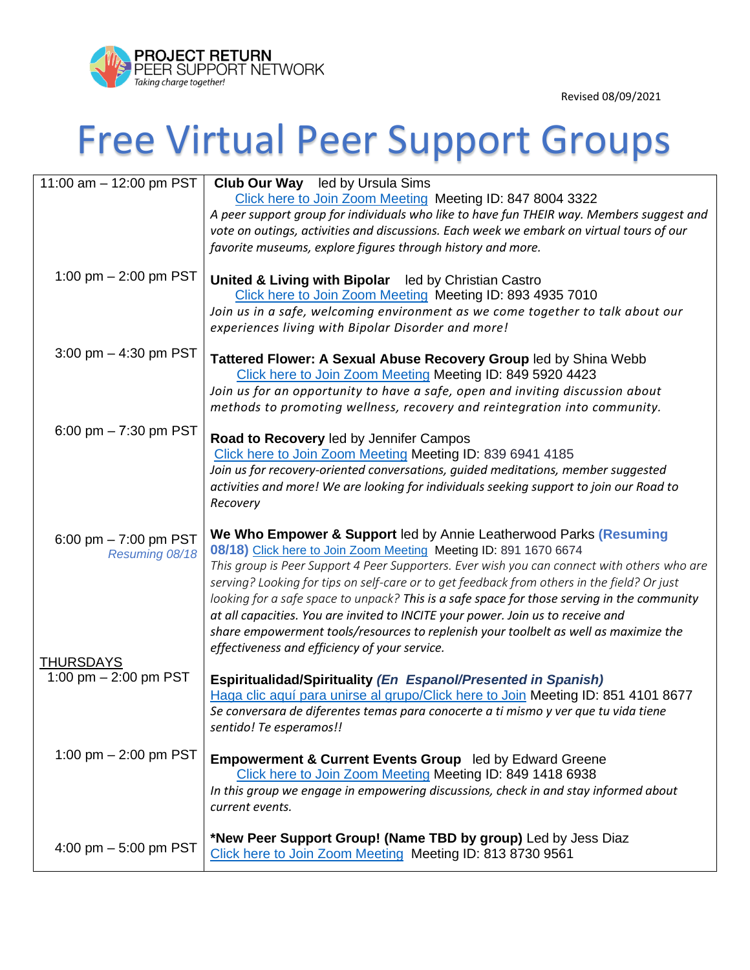

Revised 08/09/2021

## Free Virtual Peer Support Groups

| 11:00 am - 12:00 pm PST | <b>Club Our Way</b> led by Ursula Sims                                                                                                |
|-------------------------|---------------------------------------------------------------------------------------------------------------------------------------|
|                         | Click here to Join Zoom Meeting Meeting ID: 847 8004 3322                                                                             |
|                         | A peer support group for individuals who like to have fun THEIR way. Members suggest and                                              |
|                         | vote on outings, activities and discussions. Each week we embark on virtual tours of our                                              |
|                         | favorite museums, explore figures through history and more.                                                                           |
| 1:00 pm $-$ 2:00 pm PST |                                                                                                                                       |
|                         | United & Living with Bipolar led by Christian Castro<br>Click here to Join Zoom Meeting Meeting ID: 893 4935 7010                     |
|                         | Join us in a safe, welcoming environment as we come together to talk about our                                                        |
|                         | experiences living with Bipolar Disorder and more!                                                                                    |
| 3:00 pm $-$ 4:30 pm PST |                                                                                                                                       |
|                         | Tattered Flower: A Sexual Abuse Recovery Group led by Shina Webb<br>Click here to Join Zoom Meeting Meeting ID: 849 5920 4423         |
|                         | Join us for an opportunity to have a safe, open and inviting discussion about                                                         |
|                         | methods to promoting wellness, recovery and reintegration into community.                                                             |
| 6:00 pm $-7:30$ pm PST  |                                                                                                                                       |
|                         | Road to Recovery led by Jennifer Campos<br>Click here to Join Zoom Meeting Meeting ID: 839 6941 4185                                  |
|                         | Join us for recovery-oriented conversations, guided meditations, member suggested                                                     |
|                         | activities and more! We are looking for individuals seeking support to join our Road to                                               |
|                         | Recovery                                                                                                                              |
|                         |                                                                                                                                       |
|                         |                                                                                                                                       |
| 6:00 pm $-7:00$ pm PST  | We Who Empower & Support led by Annie Leatherwood Parks (Resuming                                                                     |
| Resuming 08/18          | 08/18) Click here to Join Zoom Meeting Meeting ID: 891 1670 6674                                                                      |
|                         | This group is Peer Support 4 Peer Supporters. Ever wish you can connect with others who are                                           |
|                         | serving? Looking for tips on self-care or to get feedback from others in the field? Or just                                           |
|                         | looking for a safe space to unpack? This is a safe space for those serving in the community                                           |
|                         | at all capacities. You are invited to INCITE your power. Join us to receive and                                                       |
|                         | share empowerment tools/resources to replenish your toolbelt as well as maximize the<br>effectiveness and efficiency of your service. |
| <b>THURSDAYS</b>        |                                                                                                                                       |
| 1:00 pm $-$ 2:00 pm PST | <b>Espiritualidad/Spirituality (En Espanol/Presented in Spanish)</b>                                                                  |
|                         | Haga clic aquí para unirse al grupo/Click here to Join Meeting ID: 851 4101 8677                                                      |
|                         | Se conversara de diferentes temas para conocerte a ti mismo y ver que tu vida tiene                                                   |
|                         | sentido! Te esperamos!!                                                                                                               |
| 1:00 pm $-$ 2:00 pm PST | <b>Empowerment &amp; Current Events Group</b> led by Edward Greene                                                                    |
|                         | Click here to Join Zoom Meeting Meeting ID: 849 1418 6938                                                                             |
|                         | In this group we engage in empowering discussions, check in and stay informed about                                                   |
|                         | current events.                                                                                                                       |
| 4:00 pm $-5:00$ pm PST  | *New Peer Support Group! (Name TBD by group) Led by Jess Diaz                                                                         |